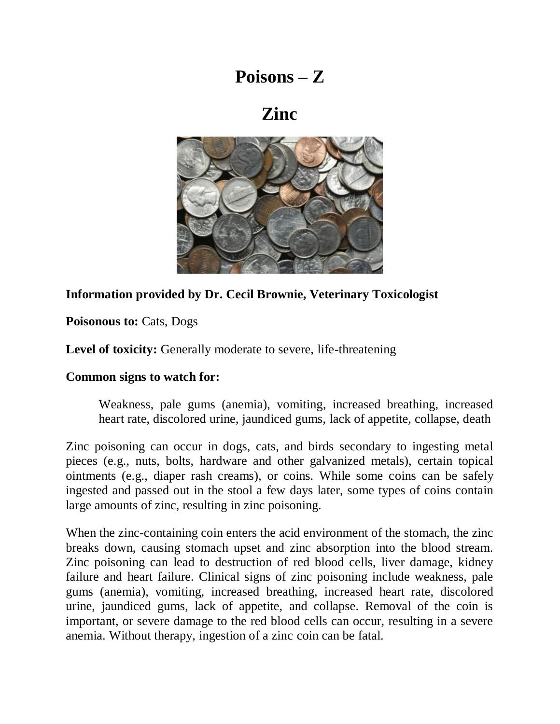# **Poisons – Z**

# **Zinc**



### **Information provided by Dr. Cecil Brownie, Veterinary Toxicologist**

Poisonous to: Cats, Dogs

Level of toxicity: Generally moderate to severe, life-threatening

#### **Common signs to watch for:**

Weakness, pale gums (anemia), vomiting, increased breathing, increased heart rate, discolored urine, jaundiced gums, lack of appetite, collapse, death

Zinc poisoning can occur in dogs, cats, and birds secondary to ingesting metal pieces (e.g., nuts, bolts, hardware and other galvanized metals), certain topical ointments (e.g., diaper rash creams), or coins. While some coins can be safely ingested and passed out in the stool a few days later, some types of coins contain large amounts of zinc, resulting in zinc poisoning.

When the zinc-containing coin enters the acid environment of the stomach, the zinc breaks down, causing stomach upset and zinc absorption into the blood stream. Zinc poisoning can lead to destruction of red blood cells, liver damage, kidney failure and heart failure. Clinical signs of zinc poisoning include weakness, pale gums (anemia), vomiting, increased breathing, increased heart rate, discolored urine, jaundiced gums, lack of appetite, and collapse. Removal of the coin is important, or severe damage to the red blood cells can occur, resulting in a severe anemia. Without therapy, ingestion of a zinc coin can be fatal.